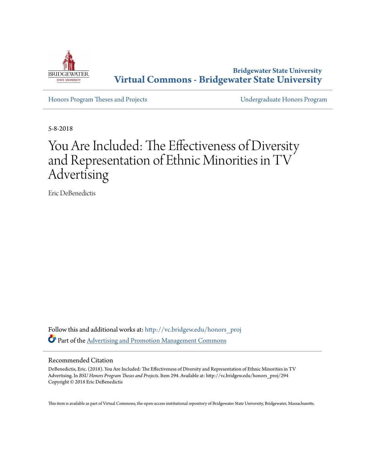

**Bridgewater State University [Virtual Commons - Bridgewater State University](http://vc.bridgew.edu?utm_source=vc.bridgew.edu%2Fhonors_proj%2F294&utm_medium=PDF&utm_campaign=PDFCoverPages)**

[Honors Program Theses and Projects](http://vc.bridgew.edu/honors_proj?utm_source=vc.bridgew.edu%2Fhonors_proj%2F294&utm_medium=PDF&utm_campaign=PDFCoverPages) [Undergraduate Honors Program](http://vc.bridgew.edu/honors?utm_source=vc.bridgew.edu%2Fhonors_proj%2F294&utm_medium=PDF&utm_campaign=PDFCoverPages)

5-8-2018

# You Are Included: The Effectiveness of Diversity and Representation of Ethnic Minorities in TV Advertising

Eric DeBenedictis

Follow this and additional works at: [http://vc.bridgew.edu/honors\\_proj](http://vc.bridgew.edu/honors_proj?utm_source=vc.bridgew.edu%2Fhonors_proj%2F294&utm_medium=PDF&utm_campaign=PDFCoverPages) Part of the [Advertising and Promotion Management Commons](http://network.bepress.com/hgg/discipline/626?utm_source=vc.bridgew.edu%2Fhonors_proj%2F294&utm_medium=PDF&utm_campaign=PDFCoverPages)

#### Recommended Citation

DeBenedictis, Eric. (2018). You Are Included: The Effectiveness of Diversity and Representation of Ethnic Minorities in TV Advertising. In *BSU Honors Program Theses and Projects.* Item 294. Available at: http://vc.bridgew.edu/honors\_proj/294 Copyright © 2018 Eric DeBenedictis

This item is available as part of Virtual Commons, the open-access institutional repository of Bridgewater State University, Bridgewater, Massachusetts.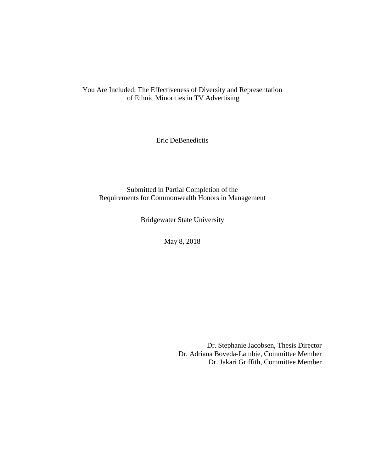You Are Included: The Effectiveness of Diversity and Representation of Ethnic Minorities in TV Advertising

Eric DeBenedictis

Submitted in Partial Completion of the Requirements for Commonwealth Honors in Management

Bridgewater State University

May 8, 2018

Dr. Stephanie Jacobsen, Thesis Director Dr. Adriana Boveda-Lambie, Committee Member Dr. Jakari Griffith, Committee Member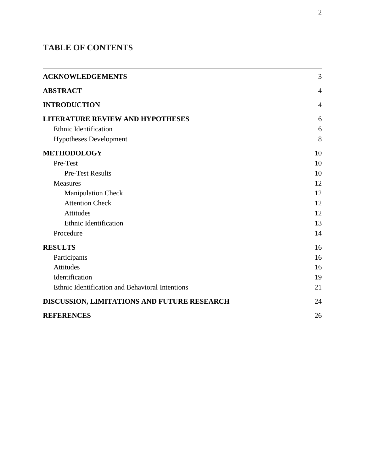# **TABLE OF CONTENTS**

| <b>ACKNOWLEDGEMENTS</b>                         | 3              |
|-------------------------------------------------|----------------|
| <b>ABSTRACT</b>                                 | $\overline{4}$ |
| <b>INTRODUCTION</b>                             | $\overline{4}$ |
| <b>LITERATURE REVIEW AND HYPOTHESES</b>         | 6              |
| <b>Ethnic Identification</b>                    | 6              |
| <b>Hypotheses Development</b>                   | 8              |
| <b>METHODOLOGY</b>                              | 10             |
| Pre-Test                                        | 10             |
| <b>Pre-Test Results</b>                         | 10             |
| <b>Measures</b>                                 | 12             |
| <b>Manipulation Check</b>                       | 12             |
| <b>Attention Check</b>                          | 12             |
| <b>Attitudes</b>                                | 12             |
| <b>Ethnic Identification</b>                    | 13             |
| Procedure                                       | 14             |
| <b>RESULTS</b>                                  | 16             |
| Participants                                    | 16             |
| <b>Attitudes</b>                                | 16             |
| Identification                                  | 19             |
| Ethnic Identification and Behavioral Intentions | 21             |
| DISCUSSION, LIMITATIONS AND FUTURE RESEARCH     | 24             |
| <b>REFERENCES</b>                               | 26             |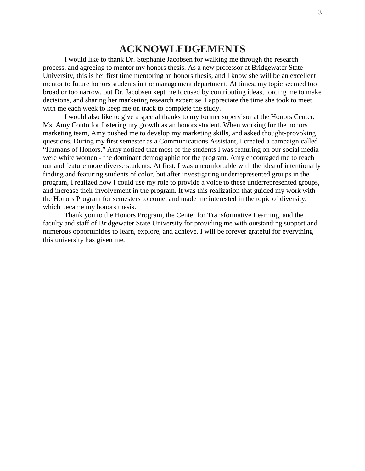# **ACKNOWLEDGEMENTS**

<span id="page-3-0"></span>I would like to thank Dr. Stephanie Jacobsen for walking me through the research process, and agreeing to mentor my honors thesis. As a new professor at Bridgewater State University, this is her first time mentoring an honors thesis, and I know she will be an excellent mentor to future honors students in the management department. At times, my topic seemed too broad or too narrow, but Dr. Jacobsen kept me focused by contributing ideas, forcing me to make decisions, and sharing her marketing research expertise. I appreciate the time she took to meet with me each week to keep me on track to complete the study.

I would also like to give a special thanks to my former supervisor at the Honors Center, Ms. Amy Couto for fostering my growth as an honors student. When working for the honors marketing team, Amy pushed me to develop my marketing skills, and asked thought-provoking questions. During my first semester as a Communications Assistant, I created a campaign called "Humans of Honors." Amy noticed that most of the students I was featuring on our social media were white women - the dominant demographic for the program. Amy encouraged me to reach out and feature more diverse students. At first, I was uncomfortable with the idea of intentionally finding and featuring students of color, but after investigating underrepresented groups in the program, I realized how I could use my role to provide a voice to these underrepresented groups, and increase their involvement in the program. It was this realization that guided my work with the Honors Program for semesters to come, and made me interested in the topic of diversity, which became my honors thesis.

Thank you to the Honors Program, the Center for Transformative Learning, and the faculty and staff of Bridgewater State University for providing me with outstanding support and numerous opportunities to learn, explore, and achieve. I will be forever grateful for everything this university has given me.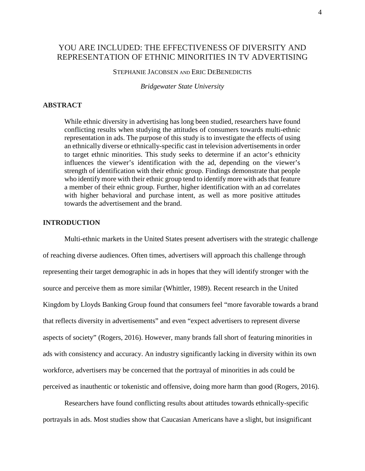# YOU ARE INCLUDED: THE EFFECTIVENESS OF DIVERSITY AND REPRESENTATION OF ETHNIC MINORITIES IN TV ADVERTISING

# STEPHANIE JACOBSEN AND ERIC DEBENEDICTIS

*Bridgewater State University*

# <span id="page-4-0"></span>**ABSTRACT**

While ethnic diversity in advertising has long been studied, researchers have found conflicting results when studying the attitudes of consumers towards multi-ethnic representation in ads. The purpose of this study is to investigate the effects of using an ethnically diverse or ethnically-specific cast in television advertisements in order to target ethnic minorities. This study seeks to determine if an actor's ethnicity influences the viewer's identification with the ad, depending on the viewer's strength of identification with their ethnic group. Findings demonstrate that people who identify more with their ethnic group tend to identify more with ads that feature a member of their ethnic group. Further, higher identification with an ad correlates with higher behavioral and purchase intent, as well as more positive attitudes towards the advertisement and the brand.

# <span id="page-4-1"></span>**INTRODUCTION**

Multi-ethnic markets in the United States present advertisers with the strategic challenge of reaching diverse audiences. Often times, advertisers will approach this challenge through representing their target demographic in ads in hopes that they will identify stronger with the source and perceive them as more similar (Whittler, 1989). Recent research in the United Kingdom by Lloyds Banking Group found that consumers feel "more favorable towards a brand that reflects diversity in advertisements" and even "expect advertisers to represent diverse aspects of society" (Rogers, 2016). However, many brands fall short of featuring minorities in ads with consistency and accuracy. An industry significantly lacking in diversity within its own workforce, advertisers may be concerned that the portrayal of minorities in ads could be perceived as inauthentic or tokenistic and offensive, doing more harm than good (Rogers, 2016).

Researchers have found conflicting results about attitudes towards ethnically-specific portrayals in ads. Most studies show that Caucasian Americans have a slight, but insignificant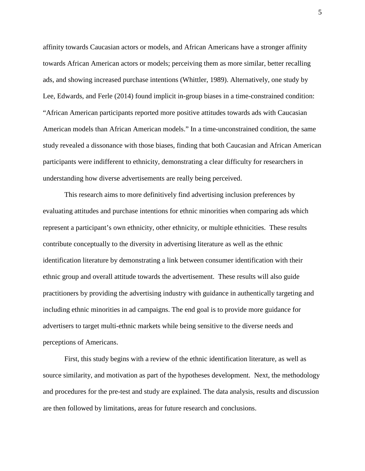affinity towards Caucasian actors or models, and African Americans have a stronger affinity towards African American actors or models; perceiving them as more similar, better recalling ads, and showing increased purchase intentions (Whittler, 1989). Alternatively, one study by Lee, Edwards, and Ferle (2014) found implicit in-group biases in a time-constrained condition: "African American participants reported more positive attitudes towards ads with Caucasian American models than African American models." In a time-unconstrained condition, the same study revealed a dissonance with those biases, finding that both Caucasian and African American participants were indifferent to ethnicity, demonstrating a clear difficulty for researchers in understanding how diverse advertisements are really being perceived.

This research aims to more definitively find advertising inclusion preferences by evaluating attitudes and purchase intentions for ethnic minorities when comparing ads which represent a participant's own ethnicity, other ethnicity, or multiple ethnicities. These results contribute conceptually to the diversity in advertising literature as well as the ethnic identification literature by demonstrating a link between consumer identification with their ethnic group and overall attitude towards the advertisement. These results will also guide practitioners by providing the advertising industry with guidance in authentically targeting and including ethnic minorities in ad campaigns. The end goal is to provide more guidance for advertisers to target multi-ethnic markets while being sensitive to the diverse needs and perceptions of Americans.

First, this study begins with a review of the ethnic identification literature, as well as source similarity, and motivation as part of the hypotheses development. Next, the methodology and procedures for the pre-test and study are explained. The data analysis, results and discussion are then followed by limitations, areas for future research and conclusions.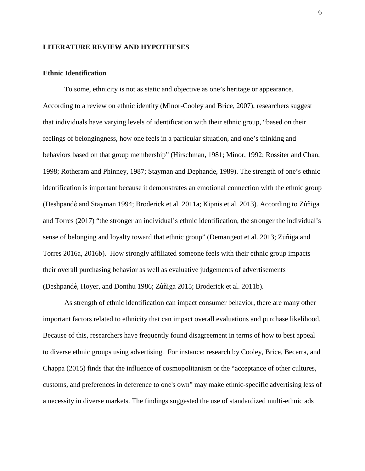#### <span id="page-6-0"></span>**LITERATURE REVIEW AND HYPOTHESES**

#### <span id="page-6-1"></span>**Ethnic Identification**

To some, ethnicity is not as static and objective as one's heritage or appearance. According to a review on ethnic identity (Minor-Cooley and Brice, 2007), researchers suggest that individuals have varying levels of identification with their ethnic group, "based on their feelings of belongingness, how one feels in a particular situation, and one's thinking and behaviors based on that group membership" (Hirschman, 1981; Minor, 1992; Rossiter and Chan, 1998; Rotheram and Phinney, 1987; Stayman and Dephande, 1989). The strength of one's ethnic identification is important because it demonstrates an emotional connection with the ethnic group (Deshpandé and Stayman 1994; Broderick et al. 2011a; Kipnis et al. 2013). According to Zú ñiga and Torres (2017) "the stronger an individual's ethnic identification, the stronger the individual's sense of belonging and loyalty toward that ethnic group" (Demangeot et al. 2013; Zú ñiga and Torres 2016a, 2016b). How strongly affiliated someone feels with their ethnic group impacts their overall purchasing behavior as well as evaluative judgements of advertisements (Deshpandé , Hoyer, and Donthu 1986; Zú ñiga 2015; Broderick et al. 2011b).

As strength of ethnic identification can impact consumer behavior, there are many other important factors related to ethnicity that can impact overall evaluations and purchase likelihood. Because of this, researchers have frequently found disagreement in terms of how to best appeal to diverse ethnic groups using advertising. For instance: research by Cooley, Brice, Becerra, and Chappa (2015) finds that the influence of cosmopolitanism or the "acceptance of other cultures, customs, and preferences in deference to one's own" may make ethnic-specific advertising less of a necessity in diverse markets. The findings suggested the use of standardized multi-ethnic ads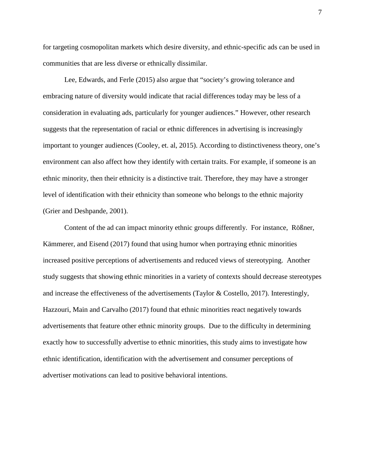for targeting cosmopolitan markets which desire diversity, and ethnic-specific ads can be used in communities that are less diverse or ethnically dissimilar.

Lee, Edwards, and Ferle (2015) also argue that "society's growing tolerance and embracing nature of diversity would indicate that racial differences today may be less of a consideration in evaluating ads, particularly for younger audiences." However, other research suggests that the representation of racial or ethnic differences in advertising is increasingly important to younger audiences (Cooley, et. al, 2015). According to distinctiveness theory, one's environment can also affect how they identify with certain traits. For example, if someone is an ethnic minority, then their ethnicity is a distinctive trait. Therefore, they may have a stronger level of identification with their ethnicity than someone who belongs to the ethnic majority (Grier and Deshpande, 2001).

Content of the ad can impact minority ethnic groups differently. For instance, Rößner, Kämmerer, and Eisend (2017) found that using humor when portraying ethnic minorities increased positive perceptions of advertisements and reduced views of stereotyping. Another study suggests that showing ethnic minorities in a variety of contexts should decrease stereotypes and increase the effectiveness of the advertisements (Taylor & Costello, 2017). Interestingly, Hazzouri, Main and Carvalho (2017) found that ethnic minorities react negatively towards advertisements that feature other ethnic minority groups. Due to the difficulty in determining exactly how to successfully advertise to ethnic minorities, this study aims to investigate how ethnic identification, identification with the advertisement and consumer perceptions of advertiser motivations can lead to positive behavioral intentions.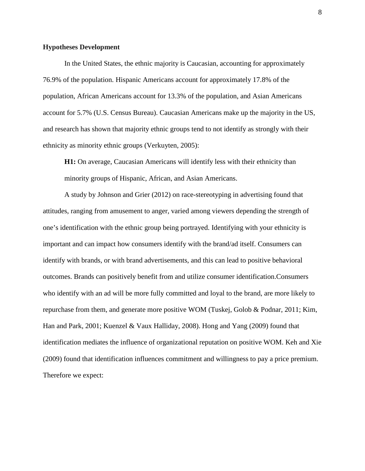#### <span id="page-8-0"></span>**Hypotheses Development**

In the United States, the ethnic majority is Caucasian, accounting for approximately 76.9% of the population. Hispanic Americans account for approximately 17.8% of the population, African Americans account for 13.3% of the population, and Asian Americans account for 5.7% (U.S. Census Bureau). Caucasian Americans make up the majority in the US, and research has shown that majority ethnic groups tend to not identify as strongly with their ethnicity as minority ethnic groups (Verkuyten, 2005):

**H1:** On average, Caucasian Americans will identify less with their ethnicity than minority groups of Hispanic, African, and Asian Americans.

A study by Johnson and Grier (2012) on race-stereotyping in advertising found that attitudes, ranging from amusement to anger, varied among viewers depending the strength of one's identification with the ethnic group being portrayed. Identifying with your ethnicity is important and can impact how consumers identify with the brand/ad itself. Consumers can identify with brands, or with brand advertisements, and this can lead to positive behavioral outcomes. Brands can positively benefit from and utilize consumer identification.Consumers who identify with an ad will be more fully committed and loyal to the brand, are more likely to repurchase from them, and generate more positive WOM (Tuskej, Golob & Podnar, 2011; Kim, Han and Park, 2001; Kuenzel & Vaux Halliday, 2008). Hong and Yang (2009) found that identification mediates the influence of organizational reputation on positive WOM. Keh and Xie (2009) found that identification influences commitment and willingness to pay a price premium. Therefore we expect: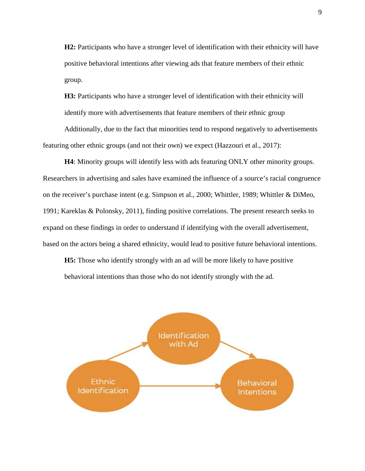**H2:** Participants who have a stronger level of identification with their ethnicity will have positive behavioral intentions after viewing ads that feature members of their ethnic group.

**H3:** Participants who have a stronger level of identification with their ethnicity will identify more with advertisements that feature members of their ethnic group

Additionally, due to the fact that minorities tend to respond negatively to advertisements featuring other ethnic groups (and not their own) we expect (Hazzouri et al., 2017):

**H4**: Minority groups will identify less with ads featuring ONLY other minority groups. Researchers in advertising and sales have examined the influence of a source's racial congruence on the receiver's purchase intent (e.g. Simpson et al., 2000; Whittler, 1989; Whittler & DiMeo, 1991; Kareklas & Polonsky, 2011), finding positive correlations. The present research seeks to expand on these findings in order to understand if identifying with the overall advertisement, based on the actors being a shared ethnicity, would lead to positive future behavioral intentions.

**H5:** Those who identify strongly with an ad will be more likely to have positive behavioral intentions than those who do not identify strongly with the ad.

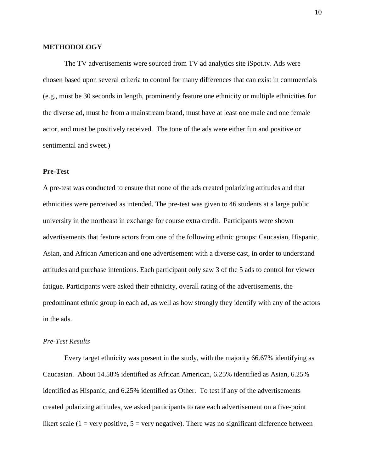#### <span id="page-10-0"></span>**METHODOLOGY**

The TV advertisements were sourced from TV ad analytics site iSpot.tv. Ads were chosen based upon several criteria to control for many differences that can exist in commercials (e.g., must be 30 seconds in length, prominently feature one ethnicity or multiple ethnicities for the diverse ad, must be from a mainstream brand, must have at least one male and one female actor, and must be positively received. The tone of the ads were either fun and positive or sentimental and sweet.)

#### <span id="page-10-1"></span>**Pre-Test**

A pre-test was conducted to ensure that none of the ads created polarizing attitudes and that ethnicities were perceived as intended. The pre-test was given to 46 students at a large public university in the northeast in exchange for course extra credit. Participants were shown advertisements that feature actors from one of the following ethnic groups: Caucasian, Hispanic, Asian, and African American and one advertisement with a diverse cast, in order to understand attitudes and purchase intentions. Each participant only saw 3 of the 5 ads to control for viewer fatigue. Participants were asked their ethnicity, overall rating of the advertisements, the predominant ethnic group in each ad, as well as how strongly they identify with any of the actors in the ads.

## <span id="page-10-2"></span>*Pre-Test Results*

Every target ethnicity was present in the study, with the majority 66.67% identifying as Caucasian. About 14.58% identified as African American, 6.25% identified as Asian, 6.25% identified as Hispanic, and 6.25% identified as Other. To test if any of the advertisements created polarizing attitudes, we asked participants to rate each advertisement on a five-point likert scale (1 = very positive,  $5$  = very negative). There was no significant difference between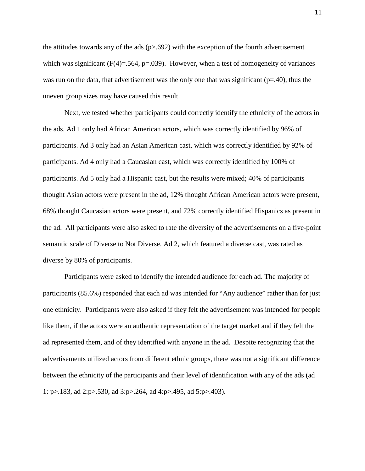the attitudes towards any of the ads  $(p>0.692)$  with the exception of the fourth advertisement which was significant  $(F(4)=.564, p=.039)$ . However, when a test of homogeneity of variances was run on the data, that advertisement was the only one that was significant ( $p=40$ ), thus the uneven group sizes may have caused this result.

Next, we tested whether participants could correctly identify the ethnicity of the actors in the ads. Ad 1 only had African American actors, which was correctly identified by 96% of participants. Ad 3 only had an Asian American cast, which was correctly identified by 92% of participants. Ad 4 only had a Caucasian cast, which was correctly identified by 100% of participants. Ad 5 only had a Hispanic cast, but the results were mixed; 40% of participants thought Asian actors were present in the ad, 12% thought African American actors were present, 68% thought Caucasian actors were present, and 72% correctly identified Hispanics as present in the ad. All participants were also asked to rate the diversity of the advertisements on a five-point semantic scale of Diverse to Not Diverse. Ad 2, which featured a diverse cast, was rated as diverse by 80% of participants.

Participants were asked to identify the intended audience for each ad. The majority of participants (85.6%) responded that each ad was intended for "Any audience" rather than for just one ethnicity. Participants were also asked if they felt the advertisement was intended for people like them, if the actors were an authentic representation of the target market and if they felt the ad represented them, and of they identified with anyone in the ad. Despite recognizing that the advertisements utilized actors from different ethnic groups, there was not a significant difference between the ethnicity of the participants and their level of identification with any of the ads (ad 1: p>.183, ad 2:p>.530, ad 3:p>.264, ad 4:p>.495, ad 5:p>.403).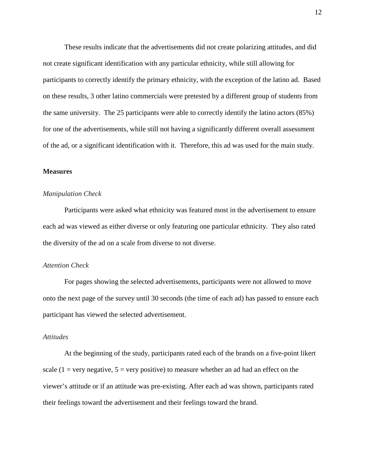These results indicate that the advertisements did not create polarizing attitudes, and did not create significant identification with any particular ethnicity, while still allowing for participants to correctly identify the primary ethnicity, with the exception of the latino ad. Based on these results, 3 other latino commercials were pretested by a different group of students from the same university. The 25 participants were able to correctly identify the latino actors (85%) for one of the advertisements, while still not having a significantly different overall assessment of the ad, or a significant identification with it. Therefore, this ad was used for the main study.

#### <span id="page-12-0"></span>**Measures**

#### <span id="page-12-1"></span>*Manipulation Check*

Participants were asked what ethnicity was featured most in the advertisement to ensure each ad was viewed as either diverse or only featuring one particular ethnicity. They also rated the diversity of the ad on a scale from diverse to not diverse.

#### <span id="page-12-2"></span>*Attention Check*

For pages showing the selected advertisements, participants were not allowed to move onto the next page of the survey until 30 seconds (the time of each ad) has passed to ensure each participant has viewed the selected advertisement.

# <span id="page-12-3"></span>*Attitudes*

At the beginning of the study, participants rated each of the brands on a five-point likert scale (1 = very negative,  $5$  = very positive) to measure whether an ad had an effect on the viewer's attitude or if an attitude was pre-existing. After each ad was shown, participants rated their feelings toward the advertisement and their feelings toward the brand.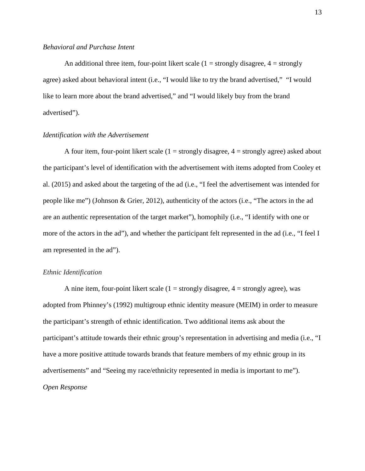#### *Behavioral and Purchase Intent*

An additional three item, four-point likert scale  $(1 =$  strongly disagree,  $4 =$  strongly agree) asked about behavioral intent (i.e., "I would like to try the brand advertised," "I would like to learn more about the brand advertised," and "I would likely buy from the brand advertised").

#### *Identification with the Advertisement*

A four item, four-point likert scale  $(1 =$  strongly disagree,  $4 =$  strongly agree) asked about the participant's level of identification with the advertisement with items adopted from Cooley et al. (2015) and asked about the targeting of the ad (i.e., "I feel the advertisement was intended for people like me") (Johnson & Grier, 2012), authenticity of the actors (i.e., "The actors in the ad are an authentic representation of the target market"), homophily (i.e., "I identify with one or more of the actors in the ad"), and whether the participant felt represented in the ad (i.e., "I feel I am represented in the ad").

#### <span id="page-13-0"></span>*Ethnic Identification*

A nine item, four-point likert scale  $(1 =$  strongly disagree,  $4 =$  strongly agree), was adopted from Phinney's (1992) multigroup ethnic identity measure (MEIM) in order to measure the participant's strength of ethnic identification. Two additional items ask about the participant's attitude towards their ethnic group's representation in advertising and media (i.e., "I have a more positive attitude towards brands that feature members of my ethnic group in its advertisements" and "Seeing my race/ethnicity represented in media is important to me"). *Open Response*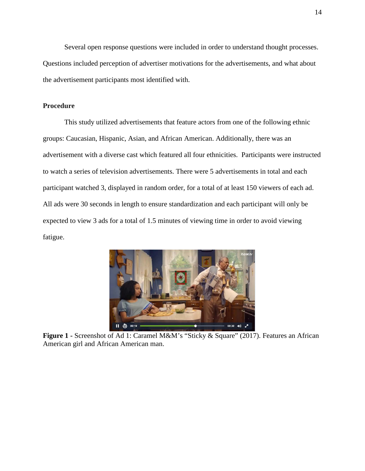Several open response questions were included in order to understand thought processes. Questions included perception of advertiser motivations for the advertisements, and what about the advertisement participants most identified with.

# <span id="page-14-0"></span>**Procedure**

This study utilized advertisements that feature actors from one of the following ethnic groups: Caucasian, Hispanic, Asian, and African American. Additionally, there was an advertisement with a diverse cast which featured all four ethnicities. Participants were instructed to watch a series of television advertisements. There were 5 advertisements in total and each participant watched 3, displayed in random order, for a total of at least 150 viewers of each ad. All ads were 30 seconds in length to ensure standardization and each participant will only be expected to view 3 ads for a total of 1.5 minutes of viewing time in order to avoid viewing fatigue.



**Figure 1 -** Screenshot of Ad 1: Caramel M&M's "Sticky & Square" (2017). Features an African American girl and African American man.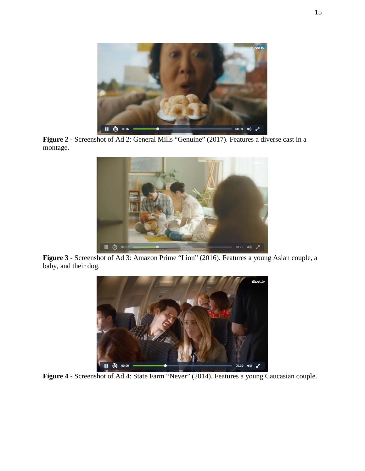

**Figure 2 -** Screenshot of Ad 2: General Mills "Genuine" (2017). Features a diverse cast in a montage.



**Figure 3 -** Screenshot of Ad 3: Amazon Prime "Lion" (2016). Features a young Asian couple, a baby, and their dog.



**Figure 4 -** Screenshot of Ad 4: State Farm "Never" (2014). Features a young Caucasian couple.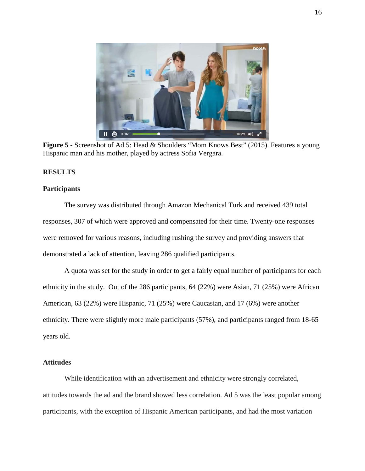

**Figure 5 -** Screenshot of Ad 5: Head & Shoulders "Mom Knows Best" (2015). Features a young Hispanic man and his mother, played by actress Sofia Vergara.

#### <span id="page-16-0"></span>**RESULTS**

#### <span id="page-16-1"></span>**Participants**

The survey was distributed through Amazon Mechanical Turk and received 439 total responses, 307 of which were approved and compensated for their time. Twenty-one responses were removed for various reasons, including rushing the survey and providing answers that demonstrated a lack of attention, leaving 286 qualified participants.

A quota was set for the study in order to get a fairly equal number of participants for each ethnicity in the study. Out of the 286 participants, 64 (22%) were Asian, 71 (25%) were African American, 63 (22%) were Hispanic, 71 (25%) were Caucasian, and 17 (6%) were another ethnicity. There were slightly more male participants (57%), and participants ranged from 18-65 years old.

#### <span id="page-16-2"></span>**Attitudes**

While identification with an advertisement and ethnicity were strongly correlated, attitudes towards the ad and the brand showed less correlation. Ad 5 was the least popular among participants, with the exception of Hispanic American participants, and had the most variation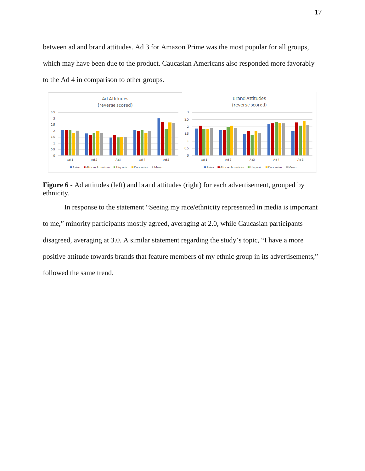between ad and brand attitudes. Ad 3 for Amazon Prime was the most popular for all groups, which may have been due to the product. Caucasian Americans also responded more favorably to the Ad 4 in comparison to other groups.



Figure 6 - Ad attitudes (left) and brand attitudes (right) for each advertisement, grouped by ethnicity.

In response to the statement "Seeing my race/ethnicity represented in media is important to me," minority participants mostly agreed, averaging at 2.0, while Caucasian participants disagreed, averaging at 3.0. A similar statement regarding the study's topic, "I have a more positive attitude towards brands that feature members of my ethnic group in its advertisements," followed the same trend.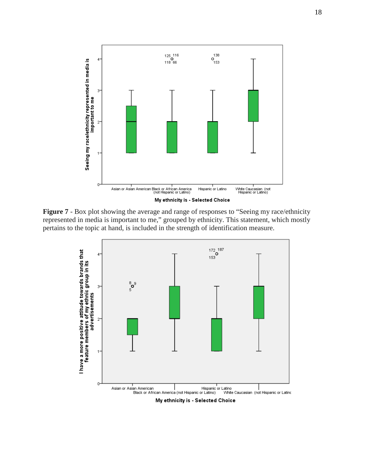

**Figure 7** - Box plot showing the average and range of responses to "Seeing my race/ethnicity represented in media is important to me," grouped by ethnicity. This statement, which mostly pertains to the topic at hand, is included in the strength of identification measure.

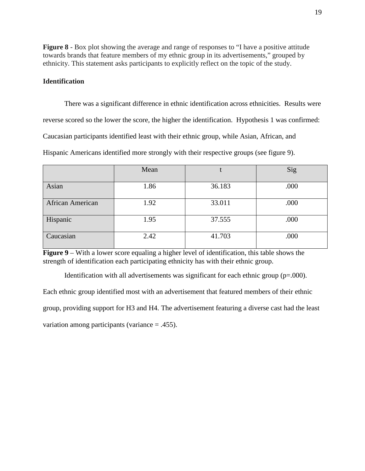**Figure 8** - Box plot showing the average and range of responses to "I have a positive attitude towards brands that feature members of my ethnic group in its advertisements," grouped by ethnicity. This statement asks participants to explicitly reflect on the topic of the study.

#### <span id="page-19-0"></span>**Identification**

There was a significant difference in ethnic identification across ethnicities. Results were reverse scored so the lower the score, the higher the identification. Hypothesis 1 was confirmed: Caucasian participants identified least with their ethnic group, while Asian, African, and Hispanic Americans identified more strongly with their respective groups (see figure 9).

|                         | Mean |        | Sig  |
|-------------------------|------|--------|------|
| Asian                   | 1.86 | 36.183 | .000 |
| <b>African American</b> | 1.92 | 33.011 | .000 |
| Hispanic                | 1.95 | 37.555 | .000 |
| Caucasian               | 2.42 | 41.703 | .000 |

**Figure 9** – With a lower score equaling a higher level of identification, this table shows the strength of identification each participating ethnicity has with their ethnic group.

Identification with all advertisements was significant for each ethnic group (p=.000).

Each ethnic group identified most with an advertisement that featured members of their ethnic

group, providing support for H3 and H4. The advertisement featuring a diverse cast had the least

variation among participants (variance = .455).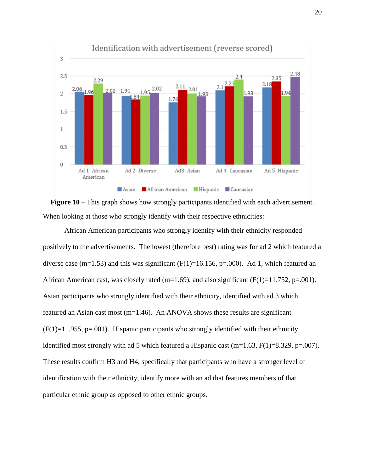



African American participants who strongly identify with their ethnicity responded positively to the advertisements. The lowest (therefore best) rating was for ad 2 which featured a diverse case (m=1.53) and this was significant (F(1)=16.156, p=.000). Ad 1, which featured an African American cast, was closely rated (m=1.69), and also significant ( $F(1)=11.752$ , p=.001). Asian participants who strongly identified with their ethnicity, identified with ad 3 which featured an Asian cast most (m=1.46). An ANOVA shows these results are significant  $(F(1)=11.955, p=.001)$ . Hispanic participants who strongly identified with their ethnicity identified most strongly with ad 5 which featured a Hispanic cast (m=1.63,  $F(1)=8.329$ , p=.007). These results confirm H3 and H4, specifically that participants who have a stronger level of identification with their ethnicity, identify more with an ad that features members of that particular ethnic group as opposed to other ethnic groups.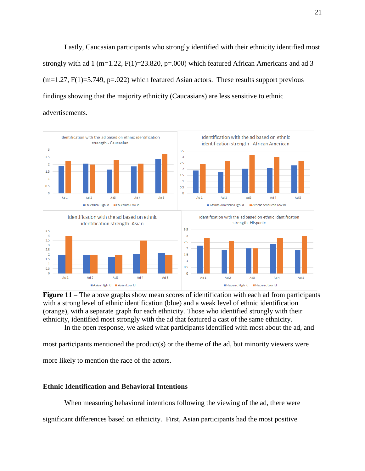Lastly, Caucasian participants who strongly identified with their ethnicity identified most strongly with ad 1 (m=1.22,  $F(1)=23.820$ , p=.000) which featured African Americans and ad 3  $(m=1.27, F(1)=5.749, p=.022)$  which featured Asian actors. These results support previous findings showing that the majority ethnicity (Caucasians) are less sensitive to ethnic advertisements.



**Figure 11** – The above graphs show mean scores of identification with each ad from participants with a strong level of ethnic identification (blue) and a weak level of ethnic identification (orange), with a separate graph for each ethnicity. Those who identified strongly with their ethnicity, identified most strongly with the ad that featured a cast of the same ethnicity.

In the open response, we asked what participants identified with most about the ad, and

most participants mentioned the product(s) or the theme of the ad, but minority viewers were

more likely to mention the race of the actors.

## <span id="page-21-0"></span>**Ethnic Identification and Behavioral Intentions**

When measuring behavioral intentions following the viewing of the ad, there were

significant differences based on ethnicity. First, Asian participants had the most positive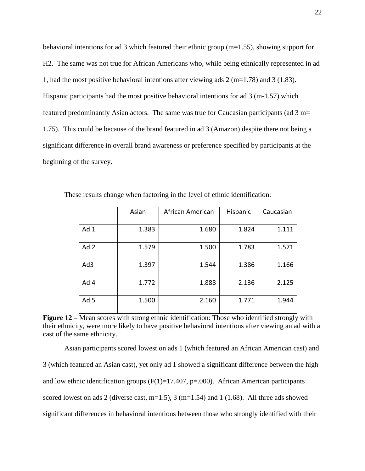behavioral intentions for ad 3 which featured their ethnic group (m=1.55), showing support for H2. The same was not true for African Americans who, while being ethnically represented in ad 1, had the most positive behavioral intentions after viewing ads 2 (m=1.78) and 3 (1.83). Hispanic participants had the most positive behavioral intentions for ad  $3 \text{ (m-1.57)}$  which featured predominantly Asian actors. The same was true for Caucasian participants (ad 3 m= 1.75). This could be because of the brand featured in ad 3 (Amazon) despite there not being a significant difference in overall brand awareness or preference specified by participants at the beginning of the survey.

|                 | Asian | African American | Hispanic | Caucasian |
|-----------------|-------|------------------|----------|-----------|
|                 |       |                  |          |           |
| Ad 1            | 1.383 | 1.680            | 1.824    | 1.111     |
|                 |       |                  |          |           |
| Ad 2            | 1.579 | 1.500            | 1.783    | 1.571     |
|                 |       |                  |          |           |
| Ad3             | 1.397 | 1.544            | 1.386    | 1.166     |
|                 |       |                  |          |           |
| Ad 4            | 1.772 | 1.888            | 2.136    | 2.125     |
|                 |       |                  |          |           |
| Ad <sub>5</sub> | 1.500 | 2.160            | 1.771    | 1.944     |
|                 |       |                  |          |           |

These results change when factoring in the level of ethnic identification:

**Figure 12** – Mean scores with strong ethnic identification: Those who identified strongly with their ethnicity, were more likely to have positive behavioral intentions after viewing an ad with a cast of the same ethnicity.

Asian participants scored lowest on ads 1 (which featured an African American cast) and 3 (which featured an Asian cast), yet only ad 1 showed a significant difference between the high and low ethnic identification groups  $(F(1)=17.407, p=.000)$ . African American participants scored lowest on ads 2 (diverse cast,  $m=1.5$ ), 3 ( $m=1.54$ ) and 1 (1.68). All three ads showed significant differences in behavioral intentions between those who strongly identified with their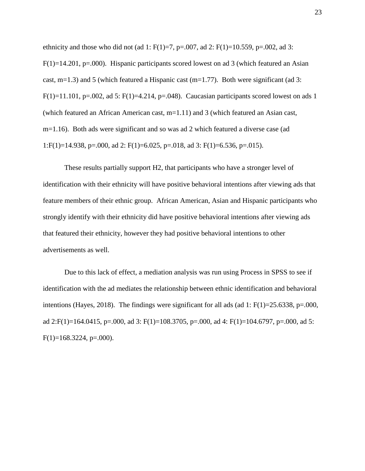ethnicity and those who did not (ad 1:  $F(1)=7$ ,  $p=.007$ , ad 2:  $F(1)=10.559$ ,  $p=.002$ , ad 3:  $F(1)=14.201$ , p=.000). Hispanic participants scored lowest on ad 3 (which featured an Asian cast,  $m=1.3$ ) and 5 (which featured a Hispanic cast ( $m=1.77$ ). Both were significant (ad 3: F(1)=11.101, p=.002, ad 5: F(1)=4.214, p=.048). Caucasian participants scored lowest on ads 1 (which featured an African American cast, m=1.11) and 3 (which featured an Asian cast, m=1.16). Both ads were significant and so was ad 2 which featured a diverse case (ad 1:F(1)=14.938, p=.000, ad 2: F(1)=6.025, p=.018, ad 3: F(1)=6.536, p=.015).

These results partially support H2, that participants who have a stronger level of identification with their ethnicity will have positive behavioral intentions after viewing ads that feature members of their ethnic group. African American, Asian and Hispanic participants who strongly identify with their ethnicity did have positive behavioral intentions after viewing ads that featured their ethnicity, however they had positive behavioral intentions to other advertisements as well.

Due to this lack of effect, a mediation analysis was run using Process in SPSS to see if identification with the ad mediates the relationship between ethnic identification and behavioral intentions (Hayes, 2018). The findings were significant for all ads (ad 1:  $F(1)=25.6338$ ,  $p=.000$ , ad 2:F(1)=164.0415, p=.000, ad 3: F(1)=108.3705, p=.000, ad 4: F(1)=104.6797, p=.000, ad 5:  $F(1)=168.3224, p=.000$ .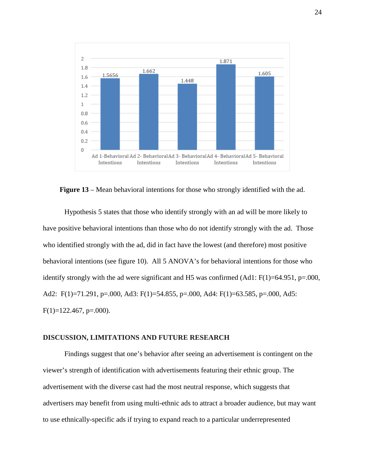

**Figure 13** – Mean behavioral intentions for those who strongly identified with the ad.

Hypothesis 5 states that those who identify strongly with an ad will be more likely to have positive behavioral intentions than those who do not identify strongly with the ad. Those who identified strongly with the ad, did in fact have the lowest (and therefore) most positive behavioral intentions (see figure 10). All 5 ANOVA's for behavioral intentions for those who identify strongly with the ad were significant and H5 was confirmed  $(Ad1: F(1)=64.951, p=.000,$ Ad2: F(1)=71.291, p=.000, Ad3: F(1)=54.855, p=.000, Ad4: F(1)=63.585, p=.000, Ad5:  $F(1)=122.467$ , p=.000).

#### <span id="page-24-0"></span>**DISCUSSION, LIMITATIONS AND FUTURE RESEARCH**

Findings suggest that one's behavior after seeing an advertisement is contingent on the viewer's strength of identification with advertisements featuring their ethnic group. The advertisement with the diverse cast had the most neutral response, which suggests that advertisers may benefit from using multi-ethnic ads to attract a broader audience, but may want to use ethnically-specific ads if trying to expand reach to a particular underrepresented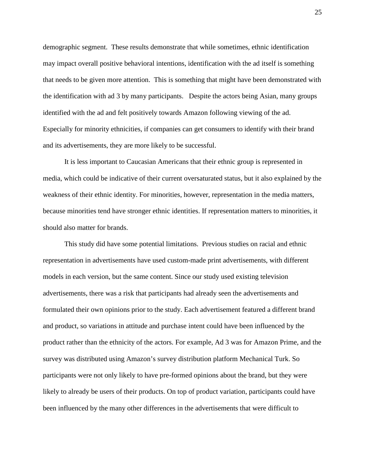demographic segment. These results demonstrate that while sometimes, ethnic identification may impact overall positive behavioral intentions, identification with the ad itself is something that needs to be given more attention. This is something that might have been demonstrated with the identification with ad 3 by many participants. Despite the actors being Asian, many groups identified with the ad and felt positively towards Amazon following viewing of the ad. Especially for minority ethnicities, if companies can get consumers to identify with their brand and its advertisements, they are more likely to be successful.

It is less important to Caucasian Americans that their ethnic group is represented in media, which could be indicative of their current oversaturated status, but it also explained by the weakness of their ethnic identity. For minorities, however, representation in the media matters, because minorities tend have stronger ethnic identities. If representation matters to minorities, it should also matter for brands.

This study did have some potential limitations. Previous studies on racial and ethnic representation in advertisements have used custom-made print advertisements, with different models in each version, but the same content. Since our study used existing television advertisements, there was a risk that participants had already seen the advertisements and formulated their own opinions prior to the study. Each advertisement featured a different brand and product, so variations in attitude and purchase intent could have been influenced by the product rather than the ethnicity of the actors. For example, Ad 3 was for Amazon Prime, and the survey was distributed using Amazon's survey distribution platform Mechanical Turk. So participants were not only likely to have pre-formed opinions about the brand, but they were likely to already be users of their products. On top of product variation, participants could have been influenced by the many other differences in the advertisements that were difficult to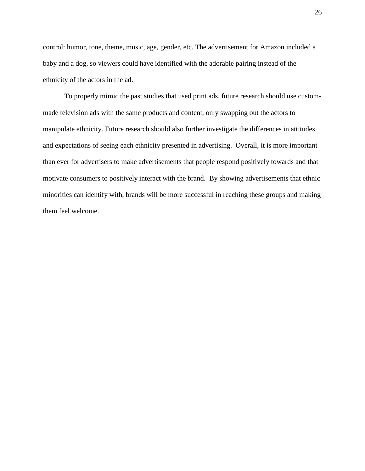control: humor, tone, theme, music, age, gender, etc. The advertisement for Amazon included a baby and a dog, so viewers could have identified with the adorable pairing instead of the ethnicity of the actors in the ad.

<span id="page-26-0"></span>To properly mimic the past studies that used print ads, future research should use custommade television ads with the same products and content, only swapping out the actors to manipulate ethnicity. Future research should also further investigate the differences in attitudes and expectations of seeing each ethnicity presented in advertising. Overall, it is more important than ever for advertisers to make advertisements that people respond positively towards and that motivate consumers to positively interact with the brand. By showing advertisements that ethnic minorities can identify with, brands will be more successful in reaching these groups and making them feel welcome.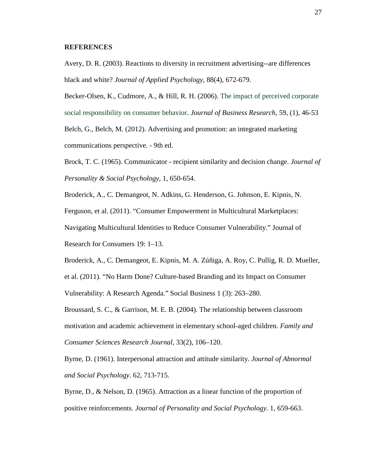#### **REFERENCES**

Avery, D. R. (2003). Reactions to diversity in recruitment advertising--are differences black and white? *Journal of Applied Psychology*, 88(4), 672-679.

Becker-Olsen, K., Cudmore, A., & Hill, R. H. (2006). [The impact of perceived corporate](https://econpapers.repec.org/article/eeejbrese/v_3a59_3ay_3a2006_3ai_3a1_3ap_3a46-53.htm)  [social responsibility on consumer behavior.](https://econpapers.repec.org/article/eeejbrese/v_3a59_3ay_3a2006_3ai_3a1_3ap_3a46-53.htm) *Journal of Business Research*, 59, (1), 46-53 Belch, G., Belch, M. (2012). Advertising and promotion: an integrated marketing communications perspective. - 9th ed.

Brock, T. C. (1965). Communicator - recipient similarity and decision change. *Journal of Personality & Social Psychology*, 1, 650-654.

Broderick, A., C. Demangeot, N. Adkins, G. Henderson, G. Johnson, E. Kipnis, N.

Ferguson, et al. (2011). "Consumer Empowerment in Multicultural Marketplaces:

Navigating Multicultural Identities to Reduce Consumer Vulnerability." Journal of

Research for Consumers 19: 1–13.

Broderick, A., C. Demangeot, E. Kipnis, M. A. Zúñiga, A. Roy, C. Pullig, R. D. Mueller, et al. (2011). "No Harm Done? Culture-based Branding and its Impact on Consumer Vulnerability: A Research Agenda." Social Business 1 (3): 263–280.

Broussard, S. C., & Garrison, M. E. B. (2004). The relationship between classroom motivation and academic achievement in elementary school-aged children. *Family and Consumer Sciences Research Journal*, 33(2), 106–120.

Byrne, D. (1961). Interpersonal attraction and attitude similarity. *Journal of Abnormal and Social Psychology*. 62, 713-715.

Byrne, D., & Nelson, D. (1965). Attraction as a linear function of the proportion of positive reinforcements. *Journal of Personality and Social Psychology.* 1, 659-663.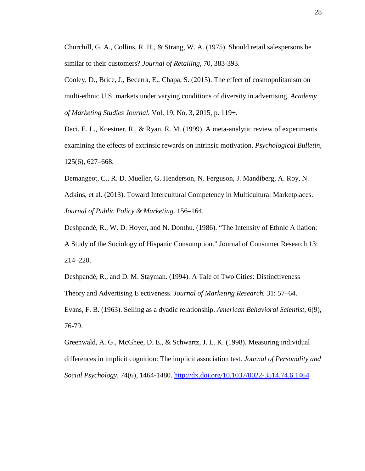Churchill, G. A., Collins, R. H., & Strang, W. A. (1975). Should retail salespersons be similar to their customers? *Journal of Retailing*, 70, 383-393.

Cooley, D., Brice, J., Becerra, E., Chapa, S. (2015). The effect of cosmopolitanism on multi-ethnic U.S. markets under varying conditions of diversity in advertising. *Academy of Marketing Studies Journal.* Vol. 19, No. 3, 2015, p. 119+.

Deci, E. L., Koestner, R., & Ryan, R. M. (1999). A meta-analytic review of experiments examining the effects of extrinsic rewards on intrinsic motivation. *Psychological Bulletin*, 125(6), 627–668.

Demangeot, C., R. D. Mueller, G. Henderson, N. Ferguson, J. Mandiberg, A. Roy, N. Adkins, et al. (2013). Toward Intercultural Competency in Multicultural Marketplaces. *Journal of Public Policy & Marketing*. 156–164.

Deshpandé, R., W. D. Hoyer, and N. Donthu. (1986). "The Intensity of Ethnic A liation: A Study of the Sociology of Hispanic Consumption." Journal of Consumer Research 13: 214–220.

Deshpandé, R., and D. M. Stayman. (1994). A Tale of Two Cities: Distinctiveness Theory and Advertising E ectiveness. *Journal of Marketing Research.* 31: 57–64. Evans, F. B. (1963). Selling as a dyadic relationship. *American Behavioral Scientist*, 6(9), 76-79.

Greenwald, A. G., McGhee, D. E., & Schwartz, J. L. K. (1998). Measuring individual differences in implicit cognition: The implicit association test. *Journal of Personality and Social Psychology*, 74(6), 1464-1480.<http://dx.doi.org/10.1037/0022-3514.74.6.1464>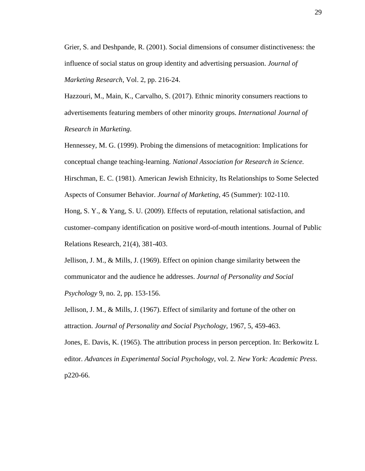Grier, S. and Deshpande, R. (2001). Social dimensions of consumer distinctiveness: the influence of social status on group identity and advertising persuasion. *Journal of Marketing Research*, Vol. 2, pp. 216-24.

Hazzouri, M., Main, K., Carvalho, S. (2017). Ethnic minority consumers reactions to advertisements featuring members of other minority groups. *International Journal of Research in Marketing*.

Hennessey, M. G. (1999). Probing the dimensions of metacognition: Implications for conceptual change teaching-learning. *National Association for Research in Science.* Hirschman, E. C. (1981). American Jewish Ethnicity, Its Relationships to Some Selected

Aspects of Consumer Behavior. *Journal of Marketing*, 45 (Summer): 102-110.

Hong, S. Y., & Yang, S. U. (2009). Effects of reputation, relational satisfaction, and customer–company identification on positive word-of-mouth intentions. Journal of Public Relations Research, 21(4), 381-403.

Jellison, J. M., & Mills, J. (1969). Effect on opinion change similarity between the communicator and the audience he addresses. *Journal of Personality and Social Psychology* 9, no. 2, pp. 153-156.

Jellison, J. M., & Mills, J. (1967). Effect of similarity and fortune of the other on attraction. *Journal of Personality and Social Psychology*, 1967, 5, 459-463.

Jones, E. Davis, K. (1965). The attribution process in person perception. In: Berkowitz L editor. *Advances in Experimental Social Psychology*, vol. 2. *New York: Academic Press*. p220-66.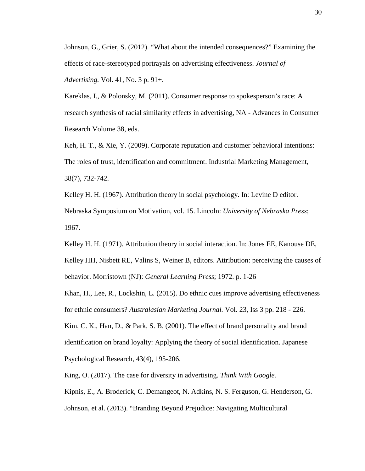Johnson, G., Grier, S. (2012). "What about the intended consequences?" Examining the effects of race-stereotyped portrayals on advertising effectiveness. *Journal of Advertising.* Vol. 41, No. 3 p. 91+.

Kareklas, I., & Polonsky, M. (2011). Consumer response to spokesperson's race: A research synthesis of racial similarity effects in advertising, NA - Advances in Consumer Research Volume 38, eds.

Keh, H. T., & Xie, Y. (2009). Corporate reputation and customer behavioral intentions: The roles of trust, identification and commitment. Industrial Marketing Management, 38(7), 732-742.

Kelley H. H. (1967). Attribution theory in social psychology. In: Levine D editor. Nebraska Symposium on Motivation, vol. 15. Lincoln: *University of Nebraska Press*; 1967.

Kelley H. H. (1971). Attribution theory in social interaction. In: Jones EE, Kanouse DE, Kelley HH, Nisbett RE, Valins S, Weiner B, editors. Attribution: perceiving the causes of behavior. Morristown (NJ): *General Learning Press*; 1972. p. 1-26

Khan, H., Lee, R., Lockshin, L. (2015). Do ethnic cues improve advertising effectiveness for ethnic consumers? *Australasian Marketing Journal.* Vol. 23, Iss 3 pp. 218 - 226.

Kim, C. K., Han, D., & Park, S. B. (2001). The effect of brand personality and brand identification on brand loyalty: Applying the theory of social identification. Japanese Psychological Research, 43(4), 195-206.

King, O. (2017). The case for diversity in advertising. *Think With Google.*

Kipnis, E., A. Broderick, C. Demangeot, N. Adkins, N. S. Ferguson, G. Henderson, G. Johnson, et al. (2013). "Branding Beyond Prejudice: Navigating Multicultural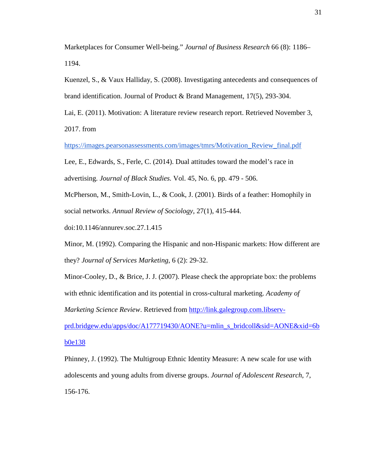Marketplaces for Consumer Well-being." *Journal of Business Research* 66 (8): 1186– 1194.

Kuenzel, S., & Vaux Halliday, S. (2008). Investigating antecedents and consequences of brand identification. Journal of Product & Brand Management, 17(5), 293-304.

Lai, E. (2011). Motivation: A literature review research report. Retrieved November 3, 2017. from

[https://images.pearsonassessments.com/images/tmrs/Motivation\\_Review\\_final.pdf](https://images.pearsonassessments.com/images/tmrs/Motivation_Review_final.pdf)

Lee, E., Edwards, S., Ferle, C. (2014). Dual attitudes toward the model's race in advertising. *Journal of Black Studies.* Vol. 45, No. 6, pp. 479 - 506.

McPherson, M., Smith-Lovin, L., & Cook, J. (2001). Birds of a feather: Homophily in social networks. *Annual Review of Sociology*, 27(1), 415-444.

doi:10.1146/annurev.soc.27.1.415

Minor, M. (1992). Comparing the Hispanic and non-Hispanic markets: How different are they? *Journal of Services Marketing*, 6 (2): 29-32.

Minor-Cooley, D., & Brice, J. J. (2007). Please check the appropriate box: the problems with ethnic identification and its potential in cross-cultural marketing. *Academy of Marketing Science Review*. Retrieved from [http://link.galegroup.com.libserv-](http://link.galegroup.com.libserv-prd.bridgew.edu/apps/doc/A177719430/AONE?u=mlin_s_bridcoll&sid=AONE&xid=6bb0e138)

[prd.bridgew.edu/apps/doc/A177719430/AONE?u=mlin\\_s\\_bridcoll&sid=AONE&xid=6b](http://link.galegroup.com.libserv-prd.bridgew.edu/apps/doc/A177719430/AONE?u=mlin_s_bridcoll&sid=AONE&xid=6bb0e138) [b0e138](http://link.galegroup.com.libserv-prd.bridgew.edu/apps/doc/A177719430/AONE?u=mlin_s_bridcoll&sid=AONE&xid=6bb0e138)

Phinney, J. (1992). The Multigroup Ethnic Identity Measure: A new scale for use with adolescents and young adults from diverse groups. *Journal of Adolescent Research*, 7, 156-176.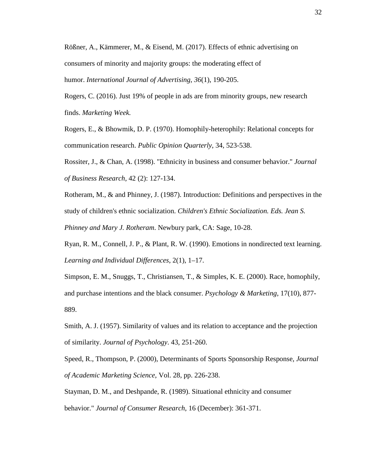Rößner, A., Kämmerer, M., & Eisend, M. (2017). Effects of ethnic advertising on consumers of minority and majority groups: the moderating effect of humor. *International Journal of Advertising*, *36*(1), 190-205.

Rogers, C. (2016). Just 19% of people in ads are from minority groups, new research finds. *Marketing Week.*

Rogers, E., & Bhowmik, D. P. (1970). Homophily-heterophily: Relational concepts for communication research. *Public Opinion Quarterly*, 34, 523-538.

Rossiter, J., & Chan, A. (1998). "Ethnicity in business and consumer behavior." *Journal of Business Research*, 42 (2): 127-134.

Rotheram, M., & and Phinney, J. (1987). Introduction: Definitions and perspectives in the study of children's ethnic socialization. *Children's Ethnic Socialization. Eds. Jean S. Phinney and Mary J. Rotheram*. Newbury park, CA: Sage, 10-28.

Ryan, R. M., Connell, J. P., & Plant, R. W. (1990). Emotions in nondirected text learning. *Learning and Individual Differences*, 2(1), 1–17.

Simpson, E. M., Snuggs, T., Christiansen, T., & Simples, K. E. (2000). Race, homophily, and purchase intentions and the black consumer. *Psychology & Marketing*, 17(10), 877- 889.

Smith, A. J. (1957). Similarity of values and its relation to acceptance and the projection of similarity. *Journal of Psychology*. 43, 251-260.

Speed, R., Thompson, P. (2000), Determinants of Sports Sponsorship Response, *Journal of Academic Marketing Science*, Vol. 28, pp. 226-238.

Stayman, D. M., and Deshpande, R. (1989). Situational ethnicity and consumer behavior." *Journal of Consumer Research*, 16 (December): 361-371.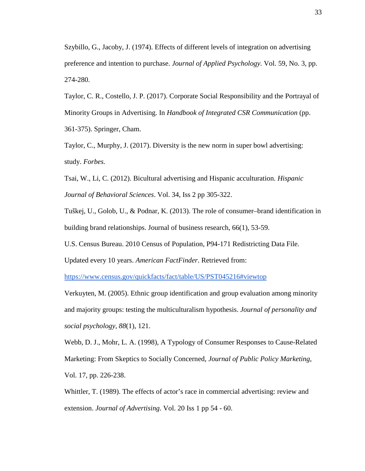Szybillo, G., Jacoby, J. (1974). Effects of different levels of integration on advertising preference and intention to purchase. *Journal of Applied Psychology.* Vol. 59, No. 3, pp. 274-280.

Taylor, C. R., Costello, J. P. (2017). Corporate Social Responsibility and the Portrayal of Minority Groups in Advertising. In *Handbook of Integrated CSR Communication* (pp. 361-375). Springer, Cham.

Taylor, C., Murphy, J. (2017). Diversity is the new norm in super bowl advertising: study. *Forbes.*

Tsai, W., Li, C. (2012). Bicultural advertising and Hispanic acculturation. *Hispanic Journal of Behavioral Sciences*. Vol. 34, Iss 2 pp 305-322.

Tuškej, U., Golob, U., & Podnar, K. (2013). The role of consumer–brand identification in building brand relationships. Journal of business research, 66(1), 53-59.

U.S. Census Bureau. 2010 Census of Population, P94-171 Redistricting Data File.

Updated every 10 years. *American FactFinder*. Retrieved from:

<https://www.census.gov/quickfacts/fact/table/US/PST045216#viewtop>

Verkuyten, M. (2005). Ethnic group identification and group evaluation among minority and majority groups: testing the multiculturalism hypothesis. *Journal of personality and social psychology*, *88*(1), 121.

Webb, D. J., Mohr, L. A. (1998), A Typology of Consumer Responses to Cause-Related Marketing: From Skeptics to Socially Concerned, *Journal of Public Policy Marketing*, Vol. 17, pp. 226-238.

Whittler, T. (1989). The effects of actor's race in commercial advertising: review and extension. *Journal of Advertising*. Vol. 20 Iss 1 pp 54 - 60.